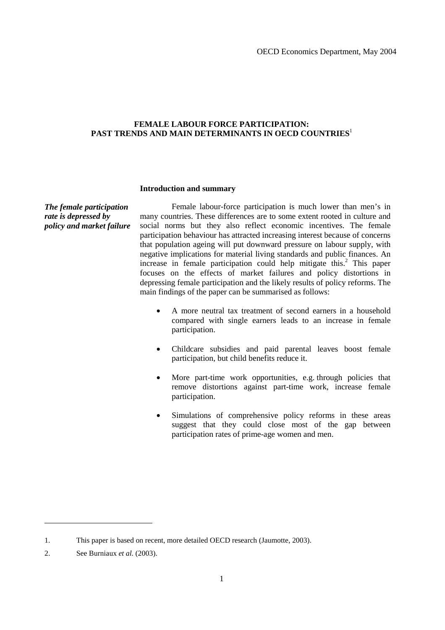# **FEMALE LABOUR FORCE PARTICIPATION: PAST TRENDS AND MAIN DETERMINANTS IN OECD COUNTRIES**<sup>1</sup>

### **Introduction and summary**

*The female participation rate is depressed by policy and market failure*  Female labour-force participation is much lower than men's in many countries. These differences are to some extent rooted in culture and social norms but they also reflect economic incentives. The female participation behaviour has attracted increasing interest because of concerns that population ageing will put downward pressure on labour supply, with negative implications for material living standards and public finances. An increase in female participation could help mitigate this.<sup>2</sup> This paper focuses on the effects of market failures and policy distortions in depressing female participation and the likely results of policy reforms. The main findings of the paper can be summarised as follows:

- A more neutral tax treatment of second earners in a household compared with single earners leads to an increase in female participation.
- Childcare subsidies and paid parental leaves boost female participation, but child benefits reduce it.
- More part-time work opportunities, e.g. through policies that remove distortions against part-time work, increase female participation.
- Simulations of comprehensive policy reforms in these areas suggest that they could close most of the gap between participation rates of prime-age women and men.

-

<sup>1.</sup> This paper is based on recent, more detailed OECD research (Jaumotte, 2003).

<sup>2.</sup> See Burniaux *et al.* (2003).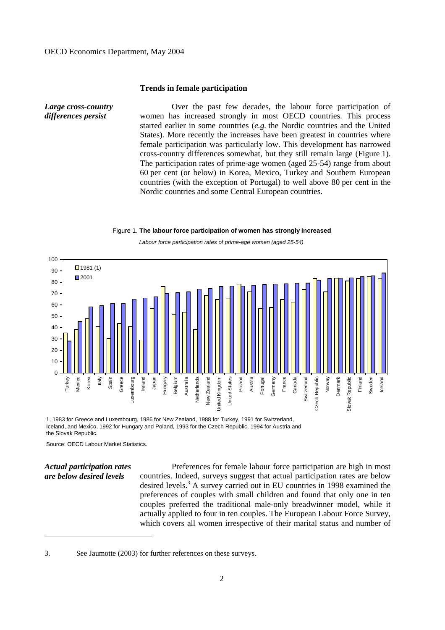### **Trends in female participation**

*Large cross-country differences persist*  Over the past few decades, the labour force participation of women has increased strongly in most OECD countries. This process started earlier in some countries (*e.g.* the Nordic countries and the United States). More recently the increases have been greatest in countries where female participation was particularly low. This development has narrowed cross-country differences somewhat, but they still remain large (Figure 1). The participation rates of prime-age women (aged 25-54) range from about 60 per cent (or below) in Korea, Mexico, Turkey and Southern European countries (with the exception of Portugal) to well above 80 per cent in the Nordic countries and some Central European countries.

#### Figure 1. **The labour force participation of women has strongly increased**

Labour force participation rates of prime-age women (aged 25-54)



1. 1983 for Greece and Luxembourg, 1986 for New Zealand, 1988 for Turkey, 1991 for Switzerland, Iceland, and Mexico, 1992 for Hungary and Poland, 1993 for the Czech Republic, 1994 for Austria and the Slovak Republic.

Source: OECD Labour Market Statistics.

# *Actual participation rates are below desired levels*

<u>.</u>

 Preferences for female labour force participation are high in most countries. Indeed, surveys suggest that actual participation rates are below desired levels.<sup>3</sup> A survey carried out in EU countries in 1998 examined the preferences of couples with small children and found that only one in ten couples preferred the traditional male-only breadwinner model, while it actually applied to four in ten couples. The European Labour Force Survey, which covers all women irrespective of their marital status and number of

<sup>3.</sup> See Jaumotte (2003) for further references on these surveys.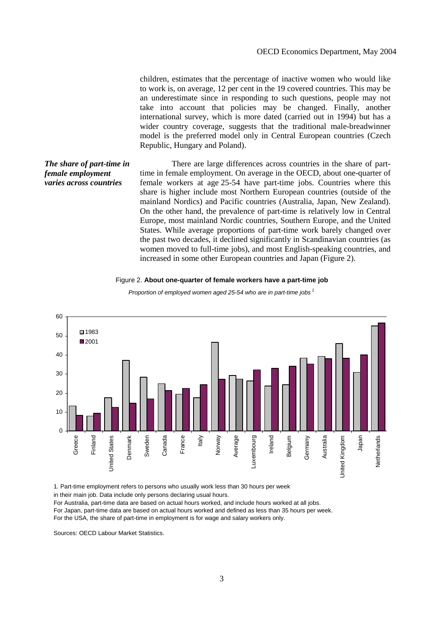children, estimates that the percentage of inactive women who would like to work is, on average, 12 per cent in the 19 covered countries. This may be an underestimate since in responding to such questions, people may not take into account that policies may be changed. Finally, another international survey, which is more dated (carried out in 1994) but has a wider country coverage, suggests that the traditional male-breadwinner model is the preferred model only in Central European countries (Czech Republic, Hungary and Poland).

# *The share of part-time in female employment varies across countries*

 There are large differences across countries in the share of parttime in female employment. On average in the OECD, about one-quarter of female workers at age 25-54 have part-time jobs. Countries where this share is higher include most Northern European countries (outside of the mainland Nordics) and Pacific countries (Australia, Japan, New Zealand). On the other hand, the prevalence of part-time is relatively low in Central Europe, most mainland Nordic countries, Southern Europe, and the United States. While average proportions of part-time work barely changed over the past two decades, it declined significantly in Scandinavian countries (as women moved to full-time jobs), and most English-speaking countries, and increased in some other European countries and Japan (Figure 2).

#### Figure 2. **About one-quarter of female workers have a part-time job**



Proportion of employed women aged 25-54 who are in part-time jobs<sup>1</sup>

1. Part-time employment refers to persons who usually work less than 30 hours per week

in their main job. Data include only persons declaring usual hours.

For Australia, part-time data are based on actual hours worked, and include hours worked at all jobs. For Japan, part-time data are based on actual hours worked and defined as less than 35 hours per week. For the USA, the share of part-time in employment is for wage and salary workers only.

Sources: OECD Labour Market Statistics.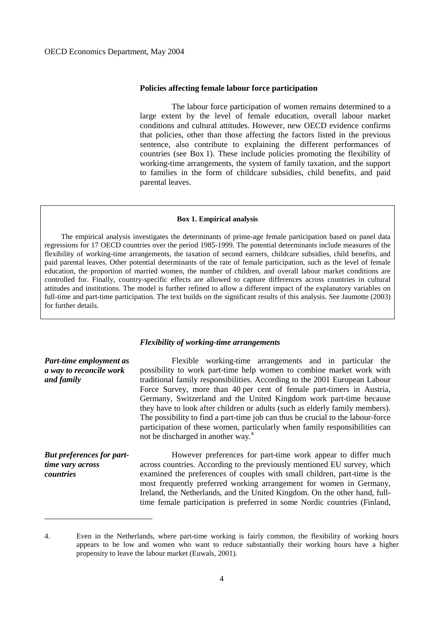<u>.</u>

### **Policies affecting female labour force participation**

 The labour force participation of women remains determined to a large extent by the level of female education, overall labour market conditions and cultural attitudes. However, new OECD evidence confirms that policies, other than those affecting the factors listed in the previous sentence, also contribute to explaining the different performances of countries (see Box 1). These include policies promoting the flexibility of working-time arrangements, the system of family taxation, and the support to families in the form of childcare subsidies, child benefits, and paid parental leaves.

### **Box 1. Empirical analysis**

The empirical analysis investigates the determinants of prime-age female participation based on panel data regressions for 17 OECD countries over the period 1985-1999. The potential determinants include measures of the flexibility of working-time arrangements, the taxation of second earners, childcare subsidies, child benefits, and paid parental leaves. Other potential determinants of the rate of female participation, such as the level of female education, the proportion of married women, the number of children, and overall labour market conditions are controlled for. Finally, country-specific effects are allowed to capture differences across countries in cultural attitudes and institutions. The model is further refined to allow a different impact of the explanatory variables on full-time and part-time participation. The text builds on the significant results of this analysis. See Jaumotte (2003) for further details.

### *Flexibility of working-time arrangements*

| Part-time employment as<br>a way to reconcile work<br>and family  | Flexible working-time arrangements and in particular the<br>possibility to work part-time help women to combine market work with<br>traditional family responsibilities. According to the 2001 European Labour<br>Force Survey, more than 40 per cent of female part-timers in Austria,<br>Germany, Switzerland and the United Kingdom work part-time because<br>they have to look after children or adults (such as elderly family members).<br>The possibility to find a part-time job can thus be crucial to the labour-force<br>participation of these women, particularly when family responsibilities can<br>not be discharged in another way. <sup>4</sup> |
|-------------------------------------------------------------------|-------------------------------------------------------------------------------------------------------------------------------------------------------------------------------------------------------------------------------------------------------------------------------------------------------------------------------------------------------------------------------------------------------------------------------------------------------------------------------------------------------------------------------------------------------------------------------------------------------------------------------------------------------------------|
| <b>But preferences for part-</b><br>time vary across<br>countries | However preferences for part-time work appear to differ much<br>across countries. According to the previously mentioned EU survey, which<br>examined the preferences of couples with small children, part-time is the<br>most frequently preferred working arrangement for women in Germany,<br>Ireland, the Netherlands, and the United Kingdom. On the other hand, full-                                                                                                                                                                                                                                                                                        |

time female participation is preferred in some Nordic countries (Finland,

<sup>4.</sup> Even in the Netherlands, where part-time working is fairly common, the flexibility of working hours appears to be low and women who want to reduce substantially their working hours have a higher propensity to leave the labour market (Euwals, 2001).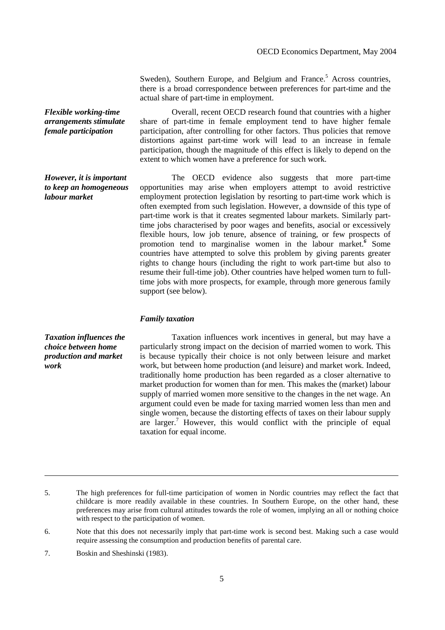Sweden), Southern Europe, and Belgium and France.<sup>5</sup> Across countries, there is a broad correspondence between preferences for part-time and the actual share of part-time in employment.

 Overall, recent OECD research found that countries with a higher share of part-time in female employment tend to have higher female participation, after controlling for other factors. Thus policies that remove distortions against part-time work will lead to an increase in female participation, though the magnitude of this effect is likely to depend on the extent to which women have a preference for such work.

 The OECD evidence also suggests that more part-time opportunities may arise when employers attempt to avoid restrictive employment protection legislation by resorting to part-time work which is often exempted from such legislation. However, a downside of this type of part-time work is that it creates segmented labour markets. Similarly parttime jobs characterised by poor wages and benefits, asocial or excessively flexible hours, low job tenure, absence of training, or few prospects of promotion tend to marginalise women in the labour market.*<sup>6</sup>* Some countries have attempted to solve this problem by giving parents greater rights to change hours (including the right to work part-time but also to resume their full-time job). Other countries have helped women turn to fulltime jobs with more prospects, for example, through more generous family support (see below).

### *Family taxation*

*Taxation influences the choice between home production and market work* 

<u>.</u>

*Flexible working-time arrangements stimulate female participation* 

*However, it is important to keep an homogeneous* 

*labour market* 

 Taxation influences work incentives in general, but may have a particularly strong impact on the decision of married women to work. This is because typically their choice is not only between leisure and market work, but between home production (and leisure) and market work. Indeed, traditionally home production has been regarded as a closer alternative to market production for women than for men. This makes the (market) labour supply of married women more sensitive to the changes in the net wage. An argument could even be made for taxing married women less than men and single women, because the distorting effects of taxes on their labour supply are larger.<sup>7</sup> However, this would conflict with the principle of equal taxation for equal income.

- 6. Note that this does not necessarily imply that part-time work is second best. Making such a case would require assessing the consumption and production benefits of parental care.
- 7. Boskin and Sheshinski (1983).

<sup>5.</sup> The high preferences for full-time participation of women in Nordic countries may reflect the fact that childcare is more readily available in these countries. In Southern Europe, on the other hand, these preferences may arise from cultural attitudes towards the role of women, implying an all or nothing choice with respect to the participation of women.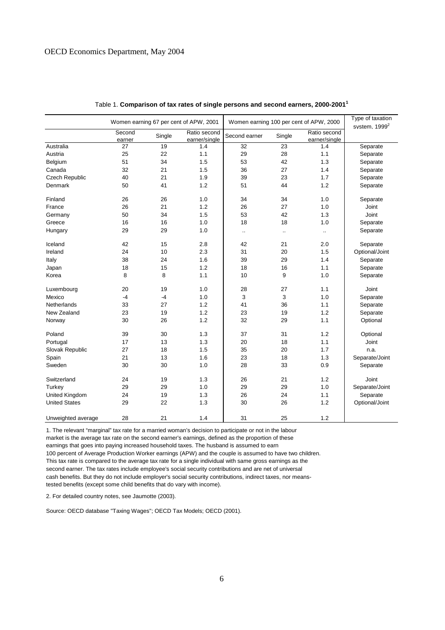|                      | Women earning 67 per cent of APW, 2001 |        |                               | Women earning 100 per cent of APW, 2000 |           |                               | Type of taxation<br>system, 1999 <sup>2</sup> |
|----------------------|----------------------------------------|--------|-------------------------------|-----------------------------------------|-----------|-------------------------------|-----------------------------------------------|
|                      | Second<br>earner                       | Single | Ratio second<br>earner/single | Second earner                           | Single    | Ratio second<br>earner/single |                                               |
| Australia            | 27                                     | 19     | 1.4                           | 32                                      | 23        | 1.4                           | Separate                                      |
| Austria              | 25                                     | 22     | 1.1                           | 29                                      | 28        | 1.1                           | Separate                                      |
| Belgium              | 51                                     | 34     | 1.5                           | 53                                      | 42        | 1.3                           | Separate                                      |
| Canada               | 32                                     | 21     | 1.5                           | 36                                      | 27        | 1.4                           | Separate                                      |
| Czech Republic       | 40                                     | 21     | 1.9                           | 39                                      | 23        | 1.7                           | Separate                                      |
| Denmark              | 50                                     | 41     | 1.2                           | 51                                      | 44        | 1.2                           | Separate                                      |
| Finland              | 26                                     | 26     | 1.0                           | 34                                      | 34        | 1.0                           | Separate                                      |
| France               | 26                                     | 21     | 1.2                           | 26                                      | 27        | 1.0                           | Joint                                         |
| Germany              | 50                                     | 34     | 1.5                           | 53                                      | 42        | 1.3                           | Joint                                         |
| Greece               | 16                                     | 16     | 1.0                           | 18                                      | 18        | 1.0                           | Separate                                      |
| Hungary              | 29                                     | 29     | 1.0                           |                                         | $\ddotsc$ |                               | Separate                                      |
| Iceland              | 42                                     | 15     | 2.8                           | 42                                      | 21        | 2.0                           | Separate                                      |
| Ireland              | 24                                     | 10     | 2.3                           | 31                                      | 20        | 1.5                           | Optional/Joint                                |
| Italy                | 38                                     | 24     | 1.6                           | 39                                      | 29        | 1.4                           | Separate                                      |
| Japan                | 18                                     | 15     | 1.2                           | 18                                      | 16        | 1.1                           | Separate                                      |
| Korea                | 8                                      | 8      | 1.1                           | 10                                      | 9         | 1.0                           | Separate                                      |
| Luxembourg           | 20                                     | 19     | 1.0                           | 28                                      | 27        | 1.1                           | Joint                                         |
| Mexico               | $-4$                                   | $-4$   | 1.0                           | 3                                       | 3         | 1.0                           | Separate                                      |
| Netherlands          | 33                                     | 27     | 1.2                           | 41                                      | 36        | 1.1                           | Separate                                      |
| New Zealand          | 23                                     | 19     | 1.2                           | 23                                      | 19        | 1.2                           | Separate                                      |
| Norway               | 30                                     | 26     | 1.2                           | 32                                      | 29        | 1.1                           | Optional                                      |
| Poland               | 39                                     | 30     | 1.3                           | 37                                      | 31        | 1.2                           | Optional                                      |
| Portugal             | 17                                     | 13     | 1.3                           | 20                                      | 18        | 1.1                           | Joint                                         |
| Slovak Republic      | 27                                     | 18     | 1.5                           | 35                                      | 20        | 1.7                           | n.a.                                          |
| Spain                | 21                                     | 13     | 1.6                           | 23                                      | 18        | 1.3                           | Separate/Joint                                |
| Sweden               | 30                                     | 30     | 1.0                           | 28                                      | 33        | 0.9                           | Separate                                      |
| Switzerland          | 24                                     | 19     | 1.3                           | 26                                      | 21        | 1.2                           | Joint                                         |
| Turkey               | 29                                     | 29     | 1.0                           | 29                                      | 29        | 1.0                           | Separate/Joint                                |
| United Kingdom       | 24                                     | 19     | 1.3                           | 26                                      | 24        | 1.1                           | Separate                                      |
| <b>United States</b> | 29                                     | 22     | 1.3                           | 30                                      | 26        | 1.2                           | Optional/Joint                                |
| Unweighted average   | 28                                     | 21     | 1.4                           | 31                                      | 25        | 1.2                           |                                               |

|  |  | <code>Table 1.</code> Comparison of tax rates of single persons and second earners, 2000-2001 $^{\rm 1}$ |  |  |
|--|--|----------------------------------------------------------------------------------------------------------|--|--|
|  |  |                                                                                                          |  |  |

1. The relevant "marginal" tax rate for a married woman's decision to participate or not in the labour market is the average tax rate on the second earner's earnings, defined as the proportion of these earnings that goes into paying increased household taxes. The husband is assumed to earn 100 percent of Average Production Worker earnings (APW) and the couple is assumed to have two children. This tax rate is compared to the average tax rate for a single individual with same gross earnings as the second earner. The tax rates include employee's social security contributions and are net of universal

cash benefits. But they do not include employer's social security contributions, indirect taxes, nor meanstested benefits (except some child benefits that do vary with income).

2. For detailed country notes, see Jaumotte (2003).

Source: OECD database "Taxing Wages"; OECD Tax Models; OECD (2001).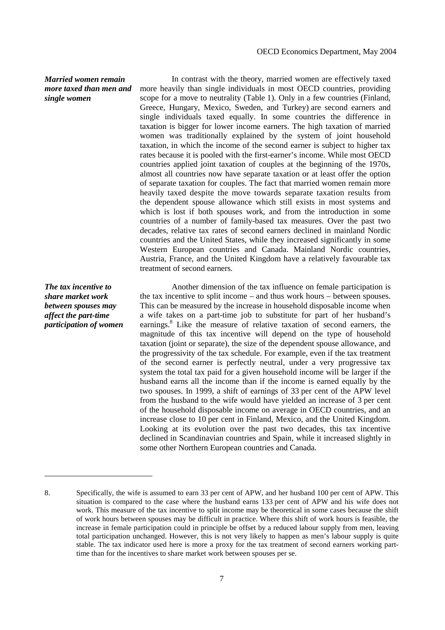### *Married women remain more taxed than men and single women*

 In contrast with the theory, married women are effectively taxed more heavily than single individuals in most OECD countries, providing scope for a move to neutrality (Table 1). Only in a few countries (Finland, Greece, Hungary, Mexico, Sweden, and Turkey) are second earners and single individuals taxed equally. In some countries the difference in taxation is bigger for lower income earners. The high taxation of married women was traditionally explained by the system of joint household taxation, in which the income of the second earner is subject to higher tax rates because it is pooled with the first-earner's income. While most OECD countries applied joint taxation of couples at the beginning of the 1970s, almost all countries now have separate taxation or at least offer the option of separate taxation for couples. The fact that married women remain more heavily taxed despite the move towards separate taxation results from the dependent spouse allowance which still exists in most systems and which is lost if both spouses work, and from the introduction in some countries of a number of family-based tax measures. Over the past two decades, relative tax rates of second earners declined in mainland Nordic countries and the United States, while they increased significantly in some Western European countries and Canada. Mainland Nordic countries, Austria, France, and the United Kingdom have a relatively favourable tax treatment of second earners.

 Another dimension of the tax influence on female participation is the tax incentive to split income – and thus work hours – between spouses. This can be measured by the increase in household disposable income when a wife takes on a part-time job to substitute for part of her husband's earnings.<sup>8</sup> Like the measure of relative taxation of second earners, the magnitude of this tax incentive will depend on the type of household taxation (joint or separate), the size of the dependent spouse allowance, and the progressivity of the tax schedule. For example, even if the tax treatment of the second earner is perfectly neutral, under a very progressive tax system the total tax paid for a given household income will be larger if the husband earns all the income than if the income is earned equally by the two spouses. In 1999, a shift of earnings of 33 per cent of the APW level from the husband to the wife would have yielded an increase of 3 per cent of the household disposable income on average in OECD countries, and an increase close to 10 per cent in Finland, Mexico, and the United Kingdom. Looking at its evolution over the past two decades, this tax incentive declined in Scandinavian countries and Spain, while it increased slightly in some other Northern European countries and Canada.

*The tax incentive to share market work between spouses may affect the part-time participation of women* 

-

<sup>8.</sup> Specifically, the wife is assumed to earn 33 per cent of APW, and her husband 100 per cent of APW. This situation is compared to the case where the husband earns 133 per cent of APW and his wife does not work. This measure of the tax incentive to split income may be theoretical in some cases because the shift of work hours between spouses may be difficult in practice. Where this shift of work hours is feasible, the increase in female participation could in principle be offset by a reduced labour supply from men, leaving total participation unchanged. However, this is not very likely to happen as men's labour supply is quite stable. The tax indicator used here is more a proxy for the tax treatment of second earners working parttime than for the incentives to share market work between spouses per se.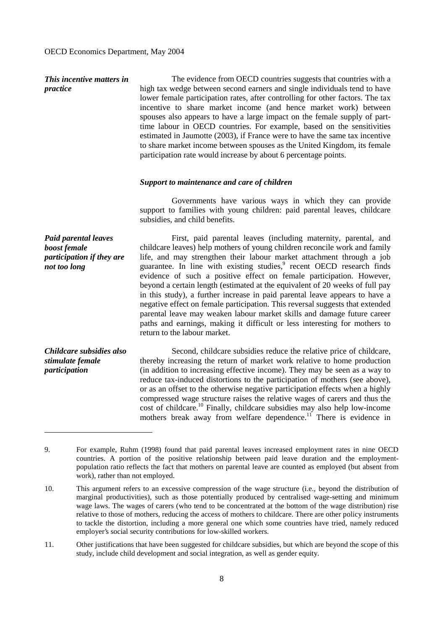### *This incentive matters in practice*

<u>.</u>

 The evidence from OECD countries suggests that countries with a high tax wedge between second earners and single individuals tend to have lower female participation rates, after controlling for other factors. The tax incentive to share market income (and hence market work) between spouses also appears to have a large impact on the female supply of parttime labour in OECD countries. For example, based on the sensitivities estimated in Jaumotte (2003), if France were to have the same tax incentive to share market income between spouses as the United Kingdom, its female participation rate would increase by about 6 percentage points.

### *Support to maintenance and care of children*

 Governments have various ways in which they can provide support to families with young children: paid parental leaves, childcare subsidies, and child benefits.

*Paid parental leaves boost female participation if they are not too long*  First, paid parental leaves (including maternity, parental, and childcare leaves) help mothers of young children reconcile work and family life, and may strengthen their labour market attachment through a job guarantee. In line with existing studies,<sup>9</sup> recent OECD research finds evidence of such a positive effect on female participation. However, beyond a certain length (estimated at the equivalent of 20 weeks of full pay in this study), a further increase in paid parental leave appears to have a negative effect on female participation. This reversal suggests that extended parental leave may weaken labour market skills and damage future career paths and earnings, making it difficult or less interesting for mothers to return to the labour market. *Childcare subsidies also*  Second, childcare subsidies reduce the relative price of childcare,

*stimulate female participation*  thereby increasing the return of market work relative to home production (in addition to increasing effective income). They may be seen as a way to reduce tax-induced distortions to the participation of mothers (see above), or as an offset to the otherwise negative participation effects when a highly compressed wage structure raises the relative wages of carers and thus the cost of childcare.<sup>10</sup> Finally, childcare subsidies may also help low-income mothers break away from welfare dependence.<sup>11</sup> There is evidence in

<sup>9.</sup> For example, Ruhm (1998) found that paid parental leaves increased employment rates in nine OECD countries. A portion of the positive relationship between paid leave duration and the employmentpopulation ratio reflects the fact that mothers on parental leave are counted as employed (but absent from work), rather than not employed.

<sup>10.</sup> This argument refers to an excessive compression of the wage structure (i.e., beyond the distribution of marginal productivities), such as those potentially produced by centralised wage-setting and minimum wage laws. The wages of carers (who tend to be concentrated at the bottom of the wage distribution) rise relative to those of mothers, reducing the access of mothers to childcare. There are other policy instruments to tackle the distortion, including a more general one which some countries have tried, namely reduced employer's social security contributions for low-skilled workers.

<sup>11.</sup> Other justifications that have been suggested for childcare subsidies, but which are beyond the scope of this study, include child development and social integration, as well as gender equity.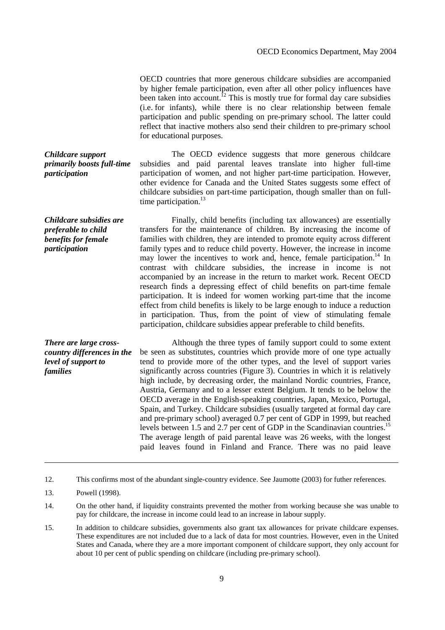OECD countries that more generous childcare subsidies are accompanied by higher female participation, even after all other policy influences have been taken into account.<sup>12</sup> This is mostly true for formal day care subsidies (i.e. for infants), while there is no clear relationship between female participation and public spending on pre-primary school. The latter could reflect that inactive mothers also send their children to pre-primary school for educational purposes.

*Childcare support primarily boosts full-time*  The OECD evidence suggests that more generous childcare subsidies and paid parental leaves translate into higher full-time participation of women, and not higher part-time participation. However, other evidence for Canada and the United States suggests some effect of childcare subsidies on part-time participation, though smaller than on fulltime participation. $13$ 

*Childcare subsidies are preferable to child benefits for female participation*  Finally, child benefits (including tax allowances) are essentially transfers for the maintenance of children. By increasing the income of families with children, they are intended to promote equity across different family types and to reduce child poverty. However, the increase in income may lower the incentives to work and, hence, female participation.<sup>14</sup> In contrast with childcare subsidies, the increase in income is not accompanied by an increase in the return to market work. Recent OECD research finds a depressing effect of child benefits on part-time female participation. It is indeed for women working part-time that the income effect from child benefits is likely to be large enough to induce a reduction in participation. Thus, from the point of view of stimulating female participation, childcare subsidies appear preferable to child benefits.

*There are large crosscountry differences in the level of support to families*  Although the three types of family support could to some extent be seen as substitutes, countries which provide more of one type actually tend to provide more of the other types, and the level of support varies significantly across countries (Figure 3). Countries in which it is relatively high include, by decreasing order, the mainland Nordic countries, France, Austria, Germany and to a lesser extent Belgium. It tends to be below the OECD average in the English-speaking countries, Japan, Mexico, Portugal, Spain, and Turkey. Childcare subsidies (usually targeted at formal day care and pre-primary school) averaged 0.7 per cent of GDP in 1999, but reached levels between 1.5 and 2.7 per cent of GDP in the Scandinavian countries.<sup>15</sup> The average length of paid parental leave was 26 weeks, with the longest paid leaves found in Finland and France. There was no paid leave

-

*participation* 

14. On the other hand, if liquidity constraints prevented the mother from working because she was unable to pay for childcare, the increase in income could lead to an increase in labour supply.

15. In addition to childcare subsidies, governments also grant tax allowances for private childcare expenses. These expenditures are not included due to a lack of data for most countries. However, even in the United States and Canada, where they are a more important component of childcare support, they only account for about 10 per cent of public spending on childcare (including pre-primary school).

<sup>12.</sup> This confirms most of the abundant single-country evidence. See Jaumotte (2003) for futher references.

<sup>13.</sup> Powell (1998).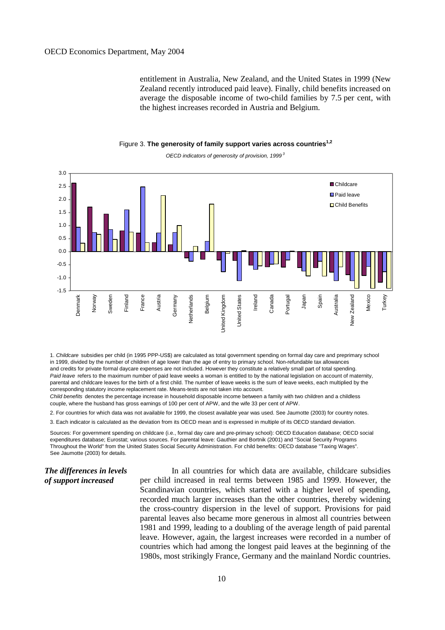entitlement in Australia, New Zealand, and the United States in 1999 (New Zealand recently introduced paid leave). Finally, child benefits increased on average the disposable income of two-child families by 7.5 per cent, with the highest increases recorded in Austria and Belgium.

# Figure 3. The generosity of family support varies across countries<sup>1,2</sup>



OECD indicators of generosity of provision, 1999<sup>3</sup>

1. Childcare subsidies per child (in 1995 PPP-US\$) are calculated as total government spending on formal day care and preprimary school in 1999, divided by the number of children of age lower than the age of entry to primary school. Non-refundable tax allowances and credits for private formal daycare expenses are not included. However they constitute a relatively small part of total spending. Paid leave refers to the maximum number of paid leave weeks a woman is entitled to by the national legislation on account of maternity, parental and childcare leaves for the birth of a first child. The number of leave weeks is the sum of leave weeks, each multiplied by the corresponding statutory income replacement rate. Means-tests are not taken into account.

Child benefits denotes the percentage increase in household disposable income between a family with two children and a childless couple, where the husband has gross earnings of 100 per cent of APW, and the wife 33 per cent of APW.

2. For countries for which data was not available for 1999, the closest available year was used. See Jaumotte (2003) for country notes.

3. Each indicator is calculated as the deviation from its OECD mean and is expressed in multiple of its OECD standard deviation.

Sources: For government spending on childcare (i.e., formal day care and pre-primary school): OECD Education database; OECD social expenditures database; Eurostat; various sources. For parental leave: Gauthier and Bortnik (2001) and "Social Security Programs Throughout the World" from the United States Social Security Administration. For child benefits: OECD database "Taxing Wages". See Jaumotte (2003) for details.

# *The differences in levels of support increased*

 In all countries for which data are available, childcare subsidies per child increased in real terms between 1985 and 1999. However, the Scandinavian countries, which started with a higher level of spending, recorded much larger increases than the other countries, thereby widening the cross-country dispersion in the level of support. Provisions for paid parental leaves also became more generous in almost all countries between 1981 and 1999, leading to a doubling of the average length of paid parental leave. However, again, the largest increases were recorded in a number of countries which had among the longest paid leaves at the beginning of the 1980s, most strikingly France, Germany and the mainland Nordic countries.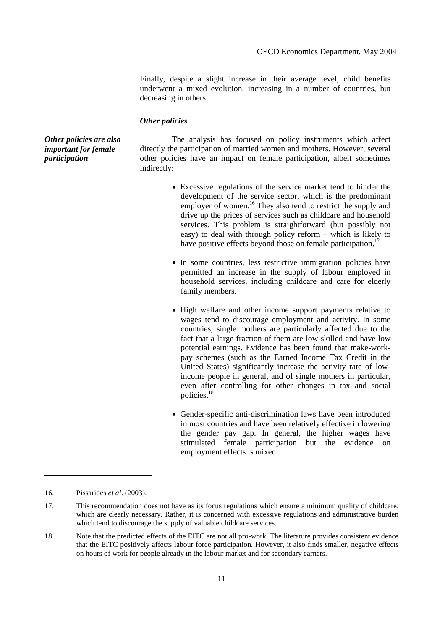Finally, despite a slight increase in their average level, child benefits underwent a mixed evolution, increasing in a number of countries, but decreasing in others.

#### *Other policies*

*Other policies are also important for female participation* 

 The analysis has focused on policy instruments which affect directly the participation of married women and mothers. However, several other policies have an impact on female participation, albeit sometimes indirectly:

- Excessive regulations of the service market tend to hinder the development of the service sector, which is the predominant employer of women.<sup>16</sup> They also tend to restrict the supply and drive up the prices of services such as childcare and household services. This problem is straightforward (but possibly not easy) to deal with through policy reform – which is likely to have positive effects beyond those on female participation.<sup>1</sup>
- In some countries, less restrictive immigration policies have permitted an increase in the supply of labour employed in household services, including childcare and care for elderly family members.
- High welfare and other income support payments relative to wages tend to discourage employment and activity. In some countries, single mothers are particularly affected due to the fact that a large fraction of them are low-skilled and have low potential earnings. Evidence has been found that make-workpay schemes (such as the Earned Income Tax Credit in the United States) significantly increase the activity rate of lowincome people in general, and of single mothers in particular, even after controlling for other changes in tax and social policies.18
- Gender-specific anti-discrimination laws have been introduced in most countries and have been relatively effective in lowering the gender pay gap. In general, the higher wages have stimulated female participation but the evidence on employment effects is mixed.

<u>.</u>

<sup>16.</sup> Pissarides *et al*. (2003).

<sup>17.</sup> This recommendation does not have as its focus regulations which ensure a minimum quality of childcare, which are clearly necessary. Rather, it is concerned with excessive regulations and administrative burden which tend to discourage the supply of valuable childcare services.

<sup>18.</sup> Note that the predicted effects of the EITC are not all pro-work. The literature provides consistent evidence that the EITC positively affects labour force participation. However, it also finds smaller, negative effects on hours of work for people already in the labour market and for secondary earners.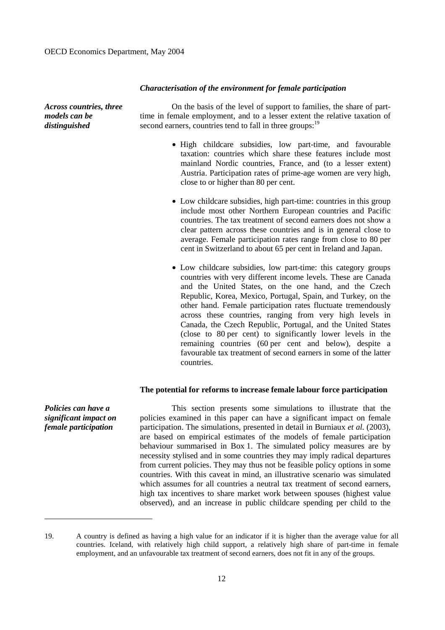# *Characterisation of the environment for female participation*

| <b>Across countries, three</b><br>models can be<br>distinguished | On the basis of the level of support to families, the share of part-<br>time in female employment, and to a lesser extent the relative taxation of<br>second earners, countries tend to fall in three groups: <sup>19</sup>                                                                                                                                                                                                                                                                                                                                                                                                                                     |  |  |  |
|------------------------------------------------------------------|-----------------------------------------------------------------------------------------------------------------------------------------------------------------------------------------------------------------------------------------------------------------------------------------------------------------------------------------------------------------------------------------------------------------------------------------------------------------------------------------------------------------------------------------------------------------------------------------------------------------------------------------------------------------|--|--|--|
|                                                                  | • High childcare subsidies, low part-time, and favourable<br>taxation: countries which share these features include most<br>mainland Nordic countries, France, and (to a lesser extent)<br>Austria. Participation rates of prime-age women are very high,<br>close to or higher than 80 per cent.                                                                                                                                                                                                                                                                                                                                                               |  |  |  |
|                                                                  | • Low childcare subsidies, high part-time: countries in this group<br>include most other Northern European countries and Pacific<br>countries. The tax treatment of second earners does not show a<br>clear pattern across these countries and is in general close to<br>average. Female participation rates range from close to 80 per<br>cent in Switzerland to about 65 per cent in Ireland and Japan.                                                                                                                                                                                                                                                       |  |  |  |
|                                                                  | • Low childcare subsidies, low part-time: this category groups<br>countries with very different income levels. These are Canada<br>and the United States, on the one hand, and the Czech<br>Republic, Korea, Mexico, Portugal, Spain, and Turkey, on the<br>other hand. Female participation rates fluctuate tremendously<br>across these countries, ranging from very high levels in<br>Canada, the Czech Republic, Portugal, and the United States<br>(close to 80 per cent) to significantly lower levels in the<br>remaining countries (60 per cent and below), despite a<br>favourable tax treatment of second earners in some of the latter<br>countries. |  |  |  |

### **The potential for reforms to increase female labour force participation**

 This section presents some simulations to illustrate that the policies examined in this paper can have a significant impact on female participation. The simulations, presented in detail in Burniaux *et al.* (2003), are based on empirical estimates of the models of female participation behaviour summarised in Box 1. The simulated policy measures are by necessity stylised and in some countries they may imply radical departures from current policies. They may thus not be feasible policy options in some countries. With this caveat in mind, an illustrative scenario was simulated which assumes for all countries a neutral tax treatment of second earners, high tax incentives to share market work between spouses (highest value observed), and an increase in public childcare spending per child to the

*Policies can have a significant impact on female participation* 

<u>.</u>

<sup>19.</sup> A country is defined as having a high value for an indicator if it is higher than the average value for all countries. Iceland, with relatively high child support, a relatively high share of part-time in female employment, and an unfavourable tax treatment of second earners, does not fit in any of the groups.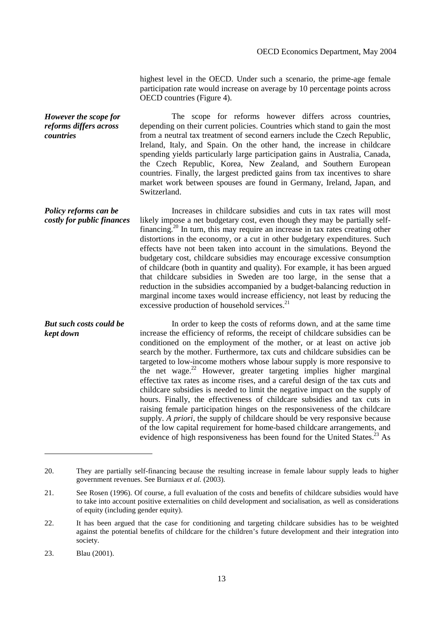highest level in the OECD. Under such a scenario, the prime-age female participation rate would increase on average by 10 percentage points across OECD countries (Figure 4).

*However the scope for reforms differs across countries*  The scope for reforms however differs across countries, depending on their current policies. Countries which stand to gain the most from a neutral tax treatment of second earners include the Czech Republic, Ireland, Italy, and Spain. On the other hand, the increase in childcare spending yields particularly large participation gains in Australia, Canada, the Czech Republic, Korea, New Zealand, and Southern European countries. Finally, the largest predicted gains from tax incentives to share market work between spouses are found in Germany, Ireland, Japan, and Switzerland.

*Policy reforms can be costly for public finances*  Increases in childcare subsidies and cuts in tax rates will most likely impose a net budgetary cost, even though they may be partially selffinancing.<sup>20</sup> In turn, this may require an increase in tax rates creating other distortions in the economy, or a cut in other budgetary expenditures. Such effects have not been taken into account in the simulations. Beyond the budgetary cost, childcare subsidies may encourage excessive consumption of childcare (both in quantity and quality). For example, it has been argued that childcare subsidies in Sweden are too large, in the sense that a reduction in the subsidies accompanied by a budget-balancing reduction in marginal income taxes would increase efficiency, not least by reducing the excessive production of household services.<sup>21</sup>

*But such costs could be kept down*  In order to keep the costs of reforms down, and at the same time increase the efficiency of reforms, the receipt of childcare subsidies can be conditioned on the employment of the mother, or at least on active job search by the mother. Furthermore, tax cuts and childcare subsidies can be targeted to low-income mothers whose labour supply is more responsive to the net wage.22 However, greater targeting implies higher marginal effective tax rates as income rises, and a careful design of the tax cuts and childcare subsidies is needed to limit the negative impact on the supply of hours. Finally, the effectiveness of childcare subsidies and tax cuts in raising female participation hinges on the responsiveness of the childcare supply. *A priori*, the supply of childcare should be very responsive because of the low capital requirement for home-based childcare arrangements, and evidence of high responsiveness has been found for the United States.<sup>23</sup> As

-

<sup>20.</sup> They are partially self-financing because the resulting increase in female labour supply leads to higher government revenues. See Burniaux *et al.* (2003).

<sup>21.</sup> See Rosen (1996). Of course, a full evaluation of the costs and benefits of childcare subsidies would have to take into account positive externalities on child development and socialisation, as well as considerations of equity (including gender equity).

<sup>22.</sup> It has been argued that the case for conditioning and targeting childcare subsidies has to be weighted against the potential benefits of childcare for the children's future development and their integration into society.

<sup>23.</sup> Blau (2001).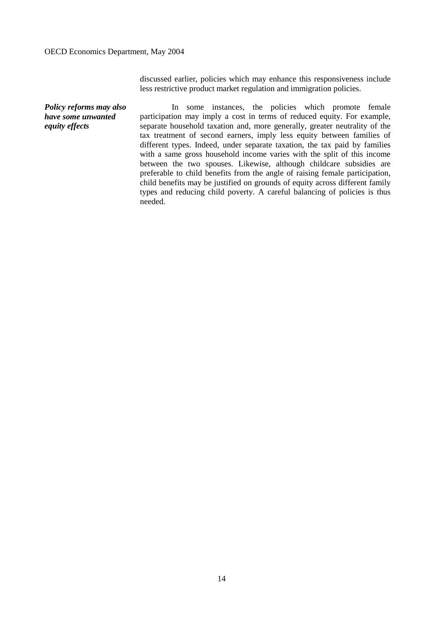### OECD Economics Department, May 2004

discussed earlier, policies which may enhance this responsiveness include less restrictive product market regulation and immigration policies.

*Policy reforms may also have some unwanted equity effects*  In some instances, the policies which promote female participation may imply a cost in terms of reduced equity. For example, separate household taxation and, more generally, greater neutrality of the tax treatment of second earners, imply less equity between families of different types. Indeed, under separate taxation, the tax paid by families with a same gross household income varies with the split of this income between the two spouses. Likewise, although childcare subsidies are preferable to child benefits from the angle of raising female participation, child benefits may be justified on grounds of equity across different family types and reducing child poverty. A careful balancing of policies is thus needed.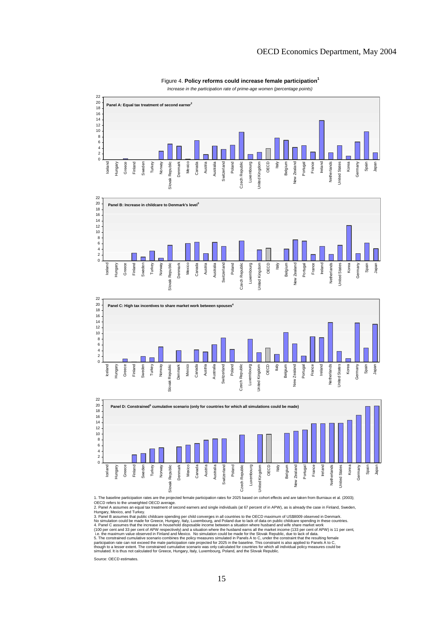

Figure 4. **Policy reforms could increase female participation<sup>1</sup>** Increase in the participation rate of prime-age women (percentage points)

1. The baseline participation rates are the projected female participation rates for 2025 based on cohort effects and are taken from Burniaux et al. (2003); OECD refers to the unweighted OECD average.

2. Panel A assumes an equal tax treatment of second earners and single individuals (at 67 percent of in APW), as is already the case in Finland, Sweden,<br>Hungary, Mexico, and Turkey.<br>
B. Panel B assumes that public childcar simulated. It is thus not calculated for Greece, Hungary, Italy, Luxembourg, Poland, and the Slovak Republic.

Source: OECD estimates.